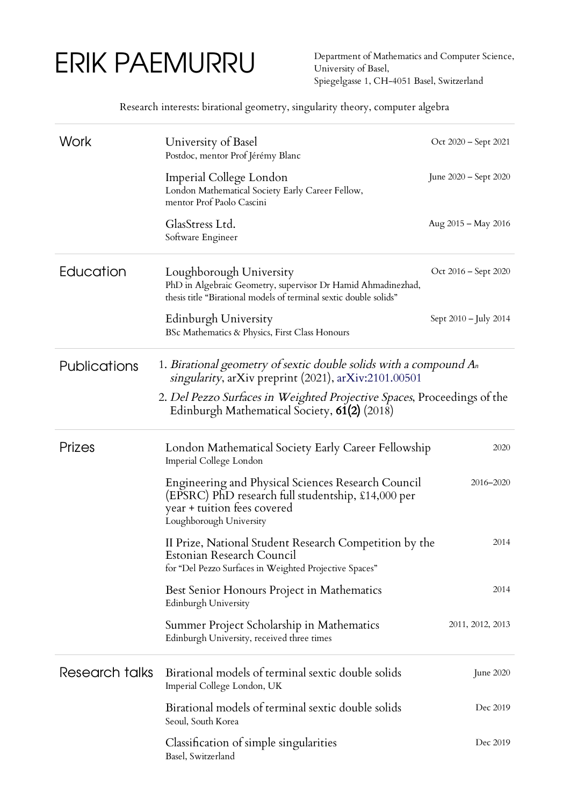## ERIK PAEMURRU

Department of Mathematics and Computer Science, University of Basel, Spiegelgasse 1, CH-4051 Basel, Switzerland

Research interests: birational geometry, singularity theory, computer algebra

| Work           | University of Basel<br>Postdoc, mentor Prof Jérémy Blanc                                                                                                           | Oct 2020 – Sept 2021  |  |  |
|----------------|--------------------------------------------------------------------------------------------------------------------------------------------------------------------|-----------------------|--|--|
|                | Imperial College London<br>London Mathematical Society Early Career Fellow,<br>mentor Prof Paolo Cascini                                                           | June 2020 - Sept 2020 |  |  |
|                | GlasStress Ltd.<br>Software Engineer                                                                                                                               | Aug 2015 - May 2016   |  |  |
| Education      | Loughborough University<br>PhD in Algebraic Geometry, supervisor Dr Hamid Ahmadinezhad,<br>thesis title "Birational models of terminal sextic double solids"       | Oct 2016 – Sept 2020  |  |  |
|                | Edinburgh University<br>BSc Mathematics & Physics, First Class Honours                                                                                             | Sept 2010 – July 2014 |  |  |
| Publications   | 1. Birational geometry of sextic double solids with a compound An<br>singularity, arXiv preprint (2021), arXiv:2101.00501                                          |                       |  |  |
|                | 2. Del Pezzo Surfaces in Weighted Projective Spaces, Proceedings of the<br>Edinburgh Mathematical Society, 61(2) (2018)                                            |                       |  |  |
| Prizes         | London Mathematical Society Early Career Fellowship<br>Imperial College London                                                                                     | 2020                  |  |  |
|                | Engineering and Physical Sciences Research Council<br>(EPSRC) PhD research full studentship, £14,000 per<br>year + tuition fees covered<br>Loughborough University | 2016-2020             |  |  |
|                | II Prize, National Student Research Competition by the<br>Estonian Research Council<br>for "Del Pezzo Surfaces in Weighted Projective Spaces"                      | 2014                  |  |  |
|                | Best Senior Honours Project in Mathematics<br>Edinburgh University                                                                                                 | 2014                  |  |  |
|                | Summer Project Scholarship in Mathematics<br>Edinburgh University, received three times                                                                            | 2011, 2012, 2013      |  |  |
| Research talks | Birational models of terminal sextic double solids<br>Imperial College London, UK                                                                                  | June 2020             |  |  |
|                | Birational models of terminal sextic double solids<br>Seoul, South Korea                                                                                           | Dec 2019              |  |  |
|                | Classification of simple singularities<br>Basel, Switzerland                                                                                                       | Dec 2019              |  |  |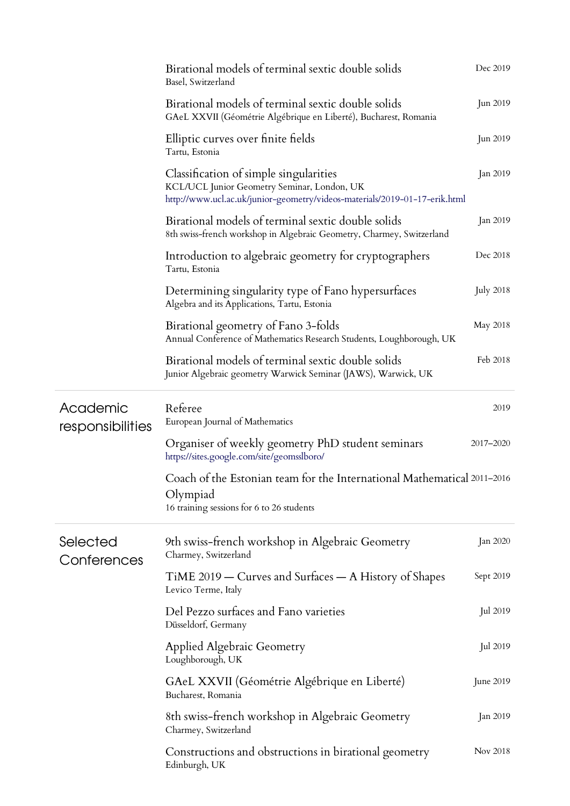|                              | Birational models of terminal sextic double solids<br>Basel, Switzerland                                                                                            | Dec 2019         |
|------------------------------|---------------------------------------------------------------------------------------------------------------------------------------------------------------------|------------------|
|                              | Birational models of terminal sextic double solids<br>GAeL XXVII (Géométrie Algébrique en Liberté), Bucharest, Romania                                              | Jun 2019         |
|                              | Elliptic curves over finite fields<br>Tartu, Estonia                                                                                                                | Jun 2019         |
|                              | Classification of simple singularities<br>KCL/UCL Junior Geometry Seminar, London, UK<br>http://www.ucl.ac.uk/junior-geometry/videos-materials/2019-01-17-erik.html | Jan 2019         |
|                              | Birational models of terminal sextic double solids<br>8th swiss-french workshop in Algebraic Geometry, Charmey, Switzerland                                         | Jan 2019         |
|                              | Introduction to algebraic geometry for cryptographers<br>Tartu, Estonia                                                                                             | Dec 2018         |
|                              | Determining singularity type of Fano hypersurfaces<br>Algebra and its Applications, Tartu, Estonia                                                                  | <b>July 2018</b> |
|                              | Birational geometry of Fano 3-folds<br>Annual Conference of Mathematics Research Students, Loughborough, UK                                                         | May 2018         |
|                              | Birational models of terminal sextic double solids<br>Junior Algebraic geometry Warwick Seminar (JAWS), Warwick, UK                                                 | Feb 2018         |
| Academic<br>responsibilities | Referee<br>European Journal of Mathematics                                                                                                                          | 2019             |
|                              | Organiser of weekly geometry PhD student seminars<br>https://sites.google.com/site/geomsslboro/                                                                     | 2017-2020        |
|                              | Coach of the Estonian team for the International Mathematical 2011-2016<br>Olympiad<br>16 training sessions for 6 to 26 students                                    |                  |
| Selected<br>Conferences      | 9th swiss-french workshop in Algebraic Geometry                                                                                                                     | Jan 2020         |
|                              | Charmey, Switzerland                                                                                                                                                |                  |
|                              | TiME 2019 – Curves and Surfaces – A History of Shapes<br>Levico Terme, Italy                                                                                        | Sept 2019        |
|                              | Del Pezzo surfaces and Fano varieties<br>Düsseldorf, Germany                                                                                                        | Jul 2019         |
|                              | <b>Applied Algebraic Geometry</b><br>Loughborough, UK                                                                                                               | Jul 2019         |
|                              | GAeL XXVII (Géométrie Algébrique en Liberté)<br>Bucharest, Romania                                                                                                  | June 2019        |
|                              | 8th swiss-french workshop in Algebraic Geometry<br>Charmey, Switzerland                                                                                             | Jan 2019         |